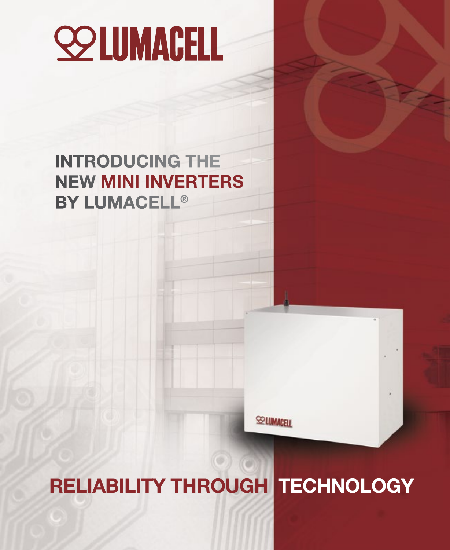# **SO LUMAGELL**

## INTRODUCING THE NEW MINI INVERTERS BY LUMACELL®

**SELUMACELL** 

## RELIABILITY THROUGH TECHNOLOGY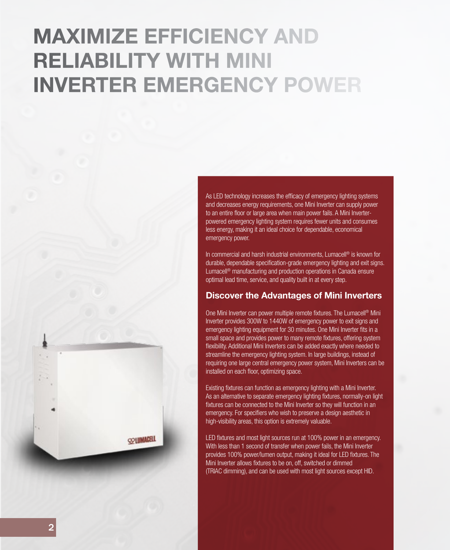## MAXIMIZE EFFICIENCY AND RELIABILITY WITH MINI INVERTER EMERGENCY POWER

As LED technology increases the efficacy of emergency lighting systems and decreases energy requirements, one Mini Inverter can supply power to an entire floor or large area when main power fails. A Mini Inverterpowered emergency lighting system requires fewer units and consumes less energy, making it an ideal choice for dependable, economical emergency power.

In commercial and harsh industrial environments, Lumacell ® is known for durable, dependable specification-grade emergency lighting and exit signs. Lumacell ® manufacturing and production operations in Canada ensure optimal lead time, service, and quality built in at every step.

#### Discover the Advantages of Mini Inverters

One Mini Inverter can power multiple remote fixtures. The Lumacell ® Mini Inverter provides 300W to 1440W of emergency power to exit signs and emergency lighting equipment for 30 minutes. One Mini Inverter fits in a small space and provides power to many remote fixtures, offering system flexibility. Additional Mini Inverters can be added exactly where needed to streamline the emergency lighting system. In large buildings, instead of requiring one large central emergency power system, Mini Inverters can be installed on each floor, optimizing space.

Existing fixtures can function as emergency lighting with a Mini Inverter. As an alternative to separate emergency lighting fixtures, normally-on light fixtures can be connected to the Mini Inverter so they will function in an emergency. For specifiers who wish to preserve a design aesthetic in high-visibility areas, this option is extremely valuable.

LED fixtures and most light sources run at 100% power in an emergency. With less than 1 second of transfer when power fails, the Mini Inverter provides 100% power/lumen output, making it ideal for LED fixtures. The Mini Inverter allows fixtures to be on, off, switched or dimmed (TRIAC dimming), and can be used with most light sources except HID.

**COLUMAGELL**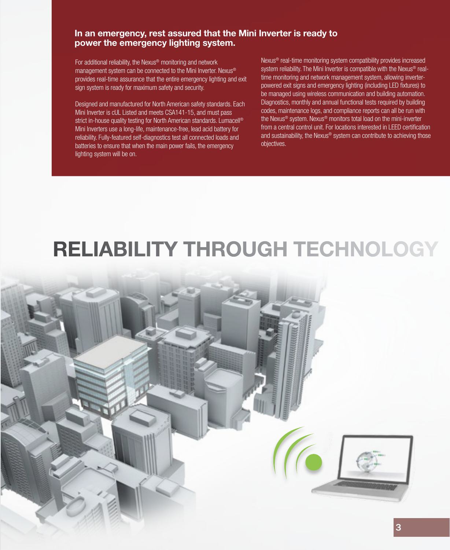#### In an emergency, rest assured that the Mini Inverter is ready to power the emergency lighting system.

For additional reliability, the Nexus® monitoring and network management system can be connected to the Mini Inverter. Nexus® provides real-time assurance that the entire emergency lighting and exit sign system is ready for maximum safety and security.

Designed and manufactured for North American safety standards. Each Mini Inverter is cUL Listed and meets CSA141-15, and must pass strict in-house quality testing for North American standards. Lumacell<sup>®</sup> Mini Inverters use a long-life, maintenance-free, lead acid battery for reliability. Fully-featured self-diagnostics test all connected loads and batteries to ensure that when the main power fails, the emergency lighting system will be on.

Nexus® real-time monitoring system compatibility provides increased system reliability. The Mini Inverter is compatible with the Nexus<sup>®</sup> realtime monitoring and network management system, allowing inverterpowered exit signs and emergency lighting (including LED fixtures) to be managed using wireless communication and building automation. Diagnostics, monthly and annual functional tests required by building codes, maintenance logs, and compliance reports can all be run with the Nexus® system. Nexus® monitors total load on the mini-inverter from a central control unit. For locations interested in LEED certification and sustainability, the Nexus® system can contribute to achieving those objectives.

## RELIABILITY THROUGH TECHNOLOGY

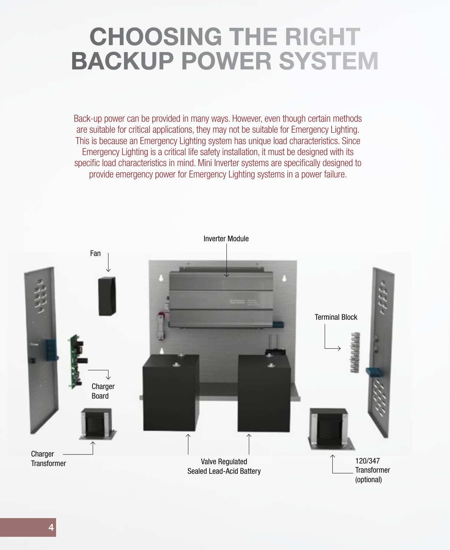## CHOOSING THE RIGHT BACKUP POWER SYSTEM

Back-up power can be provided in many ways. However, even though certain methods are suitable for critical applications, they may not be suitable for Emergency Lighting. This is because an Emergency Lighting system has unique load characteristics. Since Emergency Lighting is a critical life safety installation, it must be designed with its specific load characteristics in mind. Mini Inverter systems are specifically designed to provide emergency power for Emergency Lighting systems in a power failure.

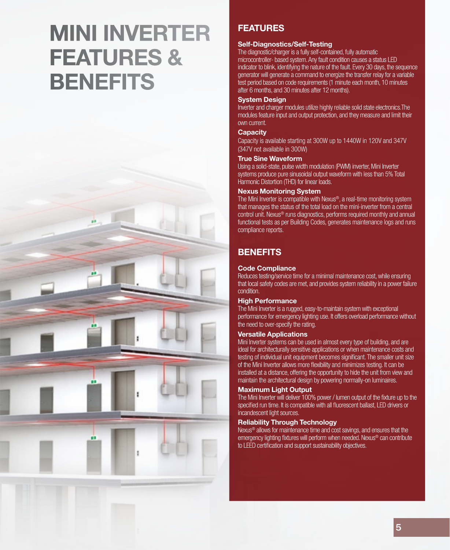## MINI INVERTER FEATURES & **BENEFITS**



#### FEATURES

#### Self-Diagnostics/Self-Testing

The diagnostic/charger is a fully self-contained, fully automatic microcontroller- based system. Any fault condition causes a status LED indicator to blink, identifying the nature of the fault. Every 30 days, the sequence generator will generate a command to energize the transfer relay for a variable test period based on code requirements (1 minute each month, 10 minutes after 6 months, and 30 minutes after 12 months).

#### System Design

Inverter and charger modules utilize highly reliable solid state electronics.The modules feature input and output protection, and they measure and limit their own current.

#### **Capacity**

Capacity is available starting at 300W up to 1440W in 120V and 347V (347V not available in 300W)

#### True Sine Waveform

Using a solid-state, pulse width modulation (PWM) inverter, Mini Inverter systems produce pure sinusoidal output waveform with less than 5% Total Harmonic Distortion (THD) for linear loads.

#### Nexus Monitoring System

The Mini Inverter is compatible with Nexus®, a real-time monitoring system that manages the status of the total load on the mini-inverter from a central control unit. Nexus® runs diagnostics, performs required monthly and annual functional tests as per Building Codes, generates maintenance logs and runs compliance reports.

#### **BENEFITS**

#### Code Compliance

Reduces testing/service time for a minimal maintenance cost, while ensuring that local safety codes are met, and provides system reliability in a power failure condition.

#### **High Performance**

The Mini Inverter is a rugged, easy-to-maintain system with exceptional performance for emergency lighting use. It offers overload performance without the need to over-specify the rating.

#### Versatile Applications

Mini Inverter systems can be used in almost every type of building, and are ideal for architecturally sensitive applications or when maintenance costs and testing of individual unit equipment becomes significant. The smaller unit size of the Mini Inverter allows more flexibility and minimizes testing. It can be installed at a distance, offering the opportunity to hide the unit from view and maintain the architectural design by powering normally-on luminaires.

#### Maximum Light Output

The Mini Inverter will deliver 100% power / lumen output of the fixture up to the specified run time. It is compatible with all fluorescent ballast, LED drivers or incandescent light sources.

#### Reliability Through Technology

Nexus® allows for maintenance time and cost savings, and ensures that the emergency lighting fixtures will perform when needed. Nexus® can contribute to LEED certification and support sustainability objectives.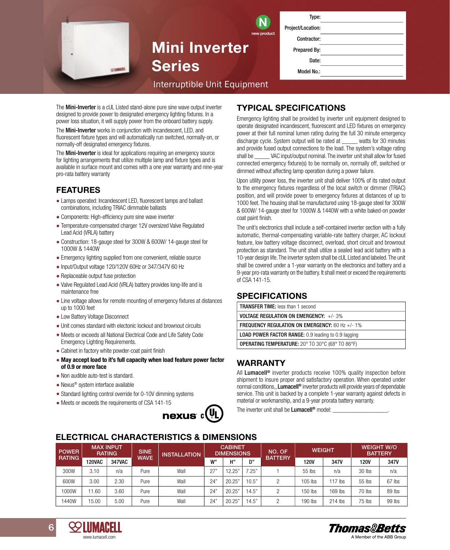| Type:             |  |
|-------------------|--|
| Project/Location: |  |
| Contractor:       |  |
| Prepared By:      |  |
| Date:             |  |
| <b>Model No.:</b> |  |
|                   |  |

# INTERNATION<br>Interruptible Unit Equipment<br>Interruptible Unit Equipment

Mini Inverter

Series

The Mini-Inverter is a cUL Listed stand-alone pure sine wave output inverter designed to provide power to designated emergency lighting fixtures. In a power loss situation, it will supply power from the onboard battery supply.

The Mini-Inverter works in conjunction with incandescent, LED, and fluorescent fixture types and will automatically run switched, normally-on, or normally-off designated emergency fixtures.

The **Mini-Inverter** is ideal for applications requiring an emergency source for lighting arrangements that utilize multiple lamp and fixture types and is available in surface mount and comes with a one year warranty and nine-year pro-rata battery warranty

#### FEATURES

- Lamps operated: Incandescent LED, fluorescent lamps and ballast combinations, including TRIAC dimmable ballasts
- Components: High-efficiency pure sine wave inverter
- Temperature-compensated charger 12V oversized Valve Regulated Lead Acid (VRLA) battery
- Construction: 18-gauge steel for 300W & 600W/ 14-gauge steel for 1000W & 1440W
- Emergency lighting supplied from one convenient, reliable source
- Input/Output voltage 120/120V 60Hz or 347/347V 60 Hz
- Replaceable output fuse protection
- Valve Regulated Lead Acid (VRLA) battery provides long-life and is maintenance free
- Line voltage allows for remote mounting of emergency fixtures at distances up to 1000 feet
- Low Battery Voltage Disconnect
- Unit comes standard with electonic lockout and brownout circuits
- Meets or exceeds all National Electrical Code and Life Safety Code Emergency Lighting Requirements.
- Cabinet in factory white powder-coat paint finish
- May accept load to it's full capacity when load feature power factor of 0.9 or more face
- Non audible auto-test is standard.
- Nexus® system interface available

www.lumacell.com

www.lumacell.com

- Standard lighting control override for 0-10V dimming systems
- Meets or exceeds the requirements of CSA 141-15



#### TYPICAL SPECIFICATIONS

new product

Emergency lighting shall be provided by inverter unit equipment designed to operate designated incandescent, fluorescent and LED fixtures on emergency power at their full nominal lumen rating during the full 30 minute emergency discharge cycle. System output will be rated at \_\_\_\_\_ watts for 30 minutes and provide fused output connections to the load. The system's voltage rating shall be **WAC** input/output nominal. The inverter unit shall allow for fused connected emergency fixture(s) to be normally on, normally off, switched or dimmed without affecting lamp operation during a power failure.

Upon utility power loss, the inverter unit shall deliver 100% of its rated output to the emergency fixtures regardless of the local switch or dimmer (TRIAC) position, and will provide power to emergency fixtures at distances of up to 1000 feet. The housing shall be manufactured using 18-gauge steel for 300W & 600W/ 14-gauge steel for 1000W & 1440W with a white baked-on powder coat paint finish.

The unit's electronics shall include a self-contained inverter section with a fully automatic, thermal-compensating variable-rate battery charger, AC lockout feature, low battery voltage disconnect, overload, short circuit and brownout protection as standard. The unit shall utilize a sealed lead acid battery with a 10-year design life. The inverter system shall be cUL Listed and labeled. The unit shall be covered under a 1-year warranty on the electronics and battery and a 9-year pro-rata warranty on the battery. It shall meet or exceed the requirements of CSA 141-15.

#### SPECIFICATIONS

| <b>TRANSFER TIME:</b> less than 1 second                   |  |  |  |  |  |
|------------------------------------------------------------|--|--|--|--|--|
| <b>VOLTAGE REGULATION ON EMERGENCY:</b> $+/- 3\%$          |  |  |  |  |  |
| <b>FREQUENCY REGULATION ON EMERGENCY:</b> 60 Hz +/- 1%     |  |  |  |  |  |
| <b>LOAD POWER FACTOR RANGE:</b> 0.9 leading to 0.9 lagging |  |  |  |  |  |
| <b>OPERATING TEMPERATURE:</b> 20° TO 30°C (68° TO 86°F)    |  |  |  |  |  |

#### WARRANTY

All Lumacell<sup>®</sup> inverter products receive 100% quality inspection before shipment to insure proper and satisfactory operation. When operated under normal conditions,, Lumacell<sup>®</sup> inverter products will provide years of dependable service. This unit is backed by a complete 1-year warranty against defects in material or workmanship, and a 9-year prorata battery warranty.

The inverter unit shall be **Lumacell<sup>®</sup>** model: \_\_\_\_\_\_\_\_\_\_\_\_\_\_\_\_\_\_\_\_\_\_\_.

#### ELECTRICAL CHARACTERISTICS & DIMENSIONS

| <b>POWER</b>  |               | <b>MAX INPUT</b><br><b>RATING</b> | <b>SINE</b> | <b>INSTALLATION</b> |     | <b>CABINET</b> | NO. OF<br><b>DIMENSIONS</b> |                | <b>WEIGHT</b> |           | <b>WEIGHT W/O</b><br><b>BATTERY</b> |          |
|---------------|---------------|-----------------------------------|-------------|---------------------|-----|----------------|-----------------------------|----------------|---------------|-----------|-------------------------------------|----------|
| <b>RATING</b> | <b>120VAC</b> | 347VAC                            | <b>WAVE</b> |                     | W'  | H"             | יח                          | <b>BATTERY</b> | <b>120V</b>   | 347V      | <b>120V</b>                         | 347V     |
| 300W          | 3.10          | n/a                               | Pure        | Wall                | 27' | 12.25"         | 7.25"                       |                | 55 lbs        | n/a       | 30 lbs                              | n/a      |
| 600W          | 3.00          | 2.30                              | Pure        | Wall                | 24" | 20.25"         | 10.5"                       |                | 105 lbs       | $117$ lbs | 55 lbs                              | $67$ lbs |
| 1000W         | .60           | 3.60                              | Pure        | Wall                | 24  | 20.25"         | 14.5"                       |                | 150 lbs       | 169 lbs   | 70 lbs                              | 89 lbs   |
| 1440W         | 15.00         | 5.00                              | Pure        | Wall                | 24  | 20.25'         | 14.5"                       |                | 190 lbs       | $214$ lbs | 75 lbs                              | 99 lbs   |



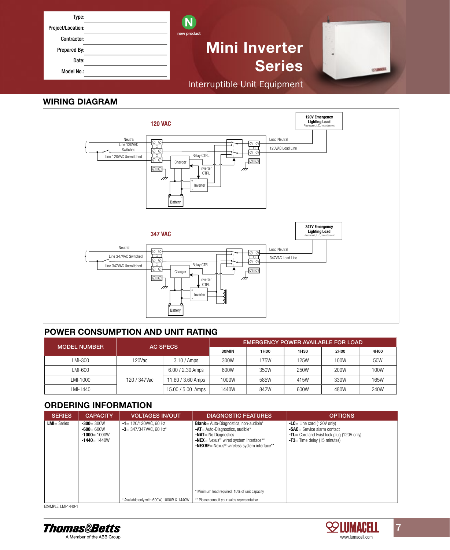| Type:             |                              |  |
|-------------------|------------------------------|--|
| Project/Location: | new product                  |  |
| Contractor:       |                              |  |
| Prepared By:      | <b>Mini Inverter</b>         |  |
| Date:             |                              |  |
| Model No.:        | <b>Series</b>                |  |
|                   | Interruptible Unit Equipment |  |

#### WIRING DIAGRAM



#### POWER CONSUMPTION AND UNIT RATING

| <b>MODEL NUMBER</b> | <b>AC SPECS</b> |                    | EMERGENCY POWER AVAILABLE FOR LOAD |      |      |      |      |  |
|---------------------|-----------------|--------------------|------------------------------------|------|------|------|------|--|
|                     |                 |                    | 30MIN                              | 1H00 | 1H30 | 2H00 | 4H00 |  |
| LMI-300             | 120Vac          | $3.10 / A$ mps     | 300W                               | 175W | 125W | 100W | 50W  |  |
| LMI-600             |                 | $6.00 / 2.30$ Amps | 600W                               | 350W | 250W | 200W | 100W |  |
| LMI-1000            | 120 / 347Vac    | 11.60 / 3.60 Amps  | 1000W                              | 585W | 415W | 330W | 165W |  |
| LMI-1440            |                 | 15.00 / 5.00 Amps  | 1440W                              | 842W | 600W | 480W | 240W |  |

#### ORDERING INFORMATION

| <b>SERIES</b>         | <b>CAPACITY</b>                                                      | <b>VOLTAGES IN/OUT</b>                                | <b>DIAGNOSTIC FEATURES</b>                                                                                                                                                                                                                                                          | <b>OPTIONS</b>                                                                                                                                               |
|-----------------------|----------------------------------------------------------------------|-------------------------------------------------------|-------------------------------------------------------------------------------------------------------------------------------------------------------------------------------------------------------------------------------------------------------------------------------------|--------------------------------------------------------------------------------------------------------------------------------------------------------------|
| <b>LMI</b> $=$ Series | $-300 = 300W$<br>$-600 = 600W$<br>$-1000 = 1000W$<br>$-1440 = 1440W$ | $-1$ = 120/120VAC, 60 Hz<br>$-3$ = 347/347VAC, 60 Hz* | <b>Blank</b> = Auto-Diagnostics, non-audible*<br>-AT = Auto-Diagnostics, audible*<br><b>-NAT</b> $=$ No Diagnostics<br>-NEX= Nexus <sup>®</sup> wired system interface**<br>-NEXRF= Nexus <sup>®</sup> wireless system interface**<br>* Minimum load required: 10% of unit capacity | $-LC =$ Line cord (120V only)<br><b>-SAC</b> = Service alarm contact<br><b>-TL</b> = Cord and twist lock plug (120V only)<br>$-T3$ = Time delay (15 minutes) |
|                       |                                                                      | * Available only with 600W, 1000W & 1440W             | ** Please consult your sales representative                                                                                                                                                                                                                                         |                                                                                                                                                              |

EXAMPLE: LMI-1440-1





 $\mathbf{7}$